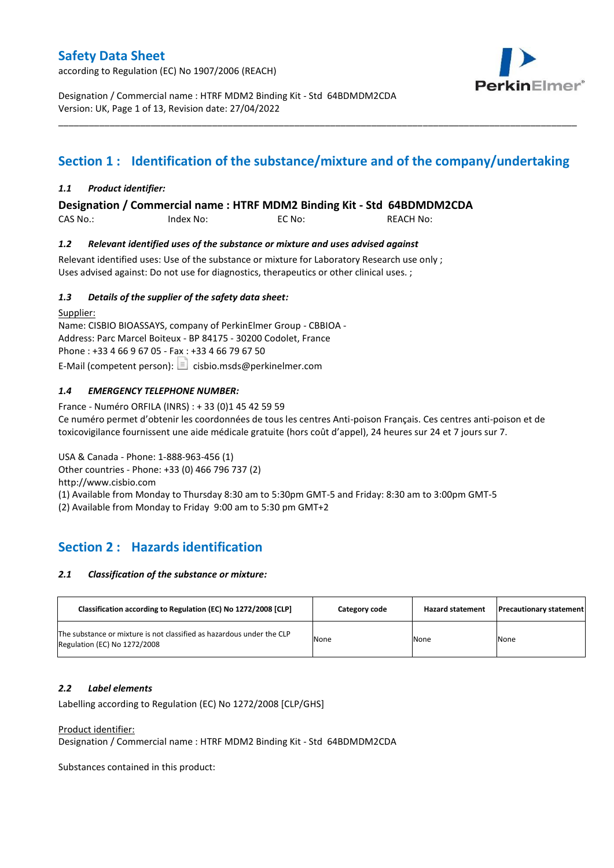according to Regulation (EC) No 1907/2006 (REACH)



Designation / Commercial name : HTRF MDM2 Binding Kit - Std 64BDMDM2CDA Version: UK, Page 1 of 13, Revision date: 27/04/2022

# **Section 1 : Identification of the substance/mixture and of the company/undertaking**

\_\_\_\_\_\_\_\_\_\_\_\_\_\_\_\_\_\_\_\_\_\_\_\_\_\_\_\_\_\_\_\_\_\_\_\_\_\_\_\_\_\_\_\_\_\_\_\_\_\_\_\_\_\_\_\_\_\_\_\_\_\_\_\_\_\_\_\_\_\_\_\_\_\_\_\_\_\_\_\_\_\_\_\_\_\_\_\_\_\_\_\_\_\_\_\_\_\_\_\_\_

### *1.1 Product identifier:*

## **Designation / Commercial name : HTRF MDM2 Binding Kit - Std 64BDMDM2CDA**

CAS No.: Index No: EC No: REACH No:

### *1.2 Relevant identified uses of the substance or mixture and uses advised against*

Relevant identified uses: Use of the substance or mixture for Laboratory Research use only ; Uses advised against: Do not use for diagnostics, therapeutics or other clinical uses. ;

### *1.3 Details of the supplier of the safety data sheet:*

Supplier: Name: CISBIO BIOASSAYS, company of PerkinElmer Group - CBBIOA - Address: Parc Marcel Boiteux - BP 84175 - 30200 Codolet, France Phone : +33 4 66 9 67 05 - Fax : +33 4 66 79 67 50 E-Mail (competent person):  $\Box$  cisbio.msds@perkinelmer.com

## *1.4 EMERGENCY TELEPHONE NUMBER:*

France - Numéro ORFILA (INRS) : + 33 (0)1 45 42 59 59 Ce numéro permet d'obtenir les coordonnées de tous les centres Anti-poison Français. Ces centres anti-poison et de toxicovigilance fournissent une aide médicale gratuite (hors coût d'appel), 24 heures sur 24 et 7 jours sur 7.

USA & Canada - Phone: 1-888-963-456 (1) Other countries - Phone: +33 (0) 466 796 737 (2)

http://www.cisbio.com

(1) Available from Monday to Thursday 8:30 am to 5:30pm GMT-5 and Friday: 8:30 am to 3:00pm GMT-5

(2) Available from Monday to Friday 9:00 am to 5:30 pm GMT+2

# **Section 2 : Hazards identification**

#### *2.1 Classification of the substance or mixture:*

| Classification according to Regulation (EC) No 1272/2008 [CLP]                                        | Category code | <b>Hazard statement</b> | <b>Precautionary statement</b> |
|-------------------------------------------------------------------------------------------------------|---------------|-------------------------|--------------------------------|
| The substance or mixture is not classified as hazardous under the CLP<br>Regulation (EC) No 1272/2008 | None          | None                    | None                           |

#### *2.2 Label elements*

Labelling according to Regulation (EC) No 1272/2008 [CLP/GHS]

#### Product identifier:

Designation / Commercial name : HTRF MDM2 Binding Kit - Std 64BDMDM2CDA

Substances contained in this product: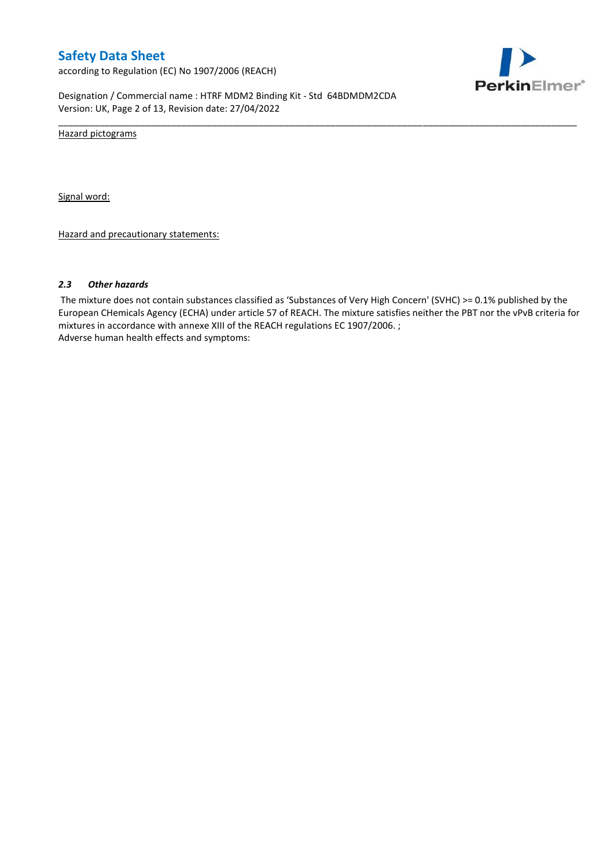according to Regulation (EC) No 1907/2006 (REACH)



Designation / Commercial name : HTRF MDM2 Binding Kit - Std 64BDMDM2CDA Version: UK, Page 2 of 13, Revision date: 27/04/2022

Hazard pictograms

Signal word:

Hazard and precautionary statements:

#### *2.3 Other hazards*

The mixture does not contain substances classified as 'Substances of Very High Concern' (SVHC) >= 0.1% published by the European CHemicals Agency (ECHA) under article 57 of REACH. The mixture satisfies neither the PBT nor the vPvB criteria for mixtures in accordance with annexe XIII of the REACH regulations EC 1907/2006. ; Adverse human health effects and symptoms:

\_\_\_\_\_\_\_\_\_\_\_\_\_\_\_\_\_\_\_\_\_\_\_\_\_\_\_\_\_\_\_\_\_\_\_\_\_\_\_\_\_\_\_\_\_\_\_\_\_\_\_\_\_\_\_\_\_\_\_\_\_\_\_\_\_\_\_\_\_\_\_\_\_\_\_\_\_\_\_\_\_\_\_\_\_\_\_\_\_\_\_\_\_\_\_\_\_\_\_\_\_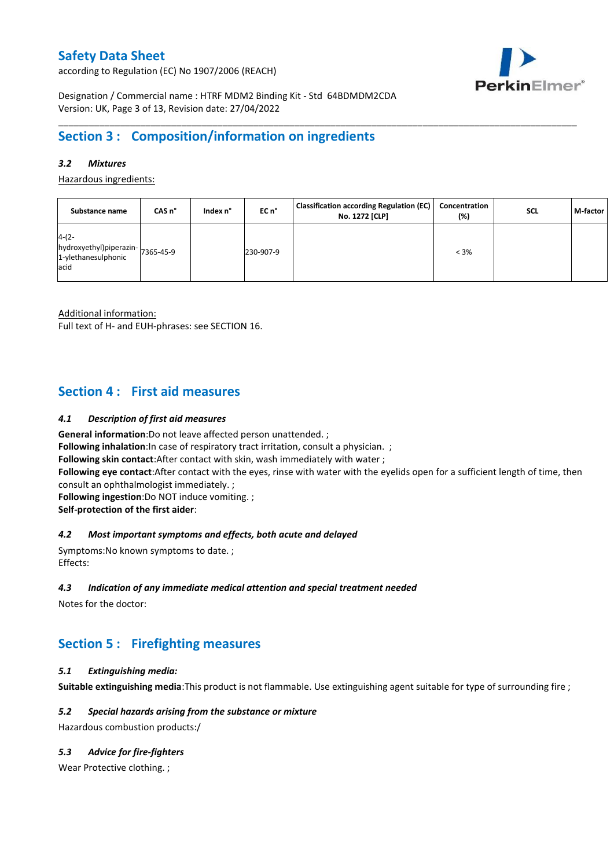according to Regulation (EC) No 1907/2006 (REACH)



Designation / Commercial name : HTRF MDM2 Binding Kit - Std 64BDMDM2CDA Version: UK, Page 3 of 13, Revision date: 27/04/2022

# **Section 3 : Composition/information on ingredients**

## *3.2 Mixtures*

Hazardous ingredients:

| Substance name                                                             | CAS n° | Index n° | EC n°     | <b>Classification according Regulation (EC)</b><br>No. 1272 [CLP] | Concentration<br>(%) | <b>SCL</b> | M-factor |
|----------------------------------------------------------------------------|--------|----------|-----------|-------------------------------------------------------------------|----------------------|------------|----------|
| $4-(2-$<br>hydroxyethyl)piperazin-7365-45-9<br>1-ylethanesulphonic<br>acid |        |          | 230-907-9 |                                                                   | $< 3\%$              |            |          |

\_\_\_\_\_\_\_\_\_\_\_\_\_\_\_\_\_\_\_\_\_\_\_\_\_\_\_\_\_\_\_\_\_\_\_\_\_\_\_\_\_\_\_\_\_\_\_\_\_\_\_\_\_\_\_\_\_\_\_\_\_\_\_\_\_\_\_\_\_\_\_\_\_\_\_\_\_\_\_\_\_\_\_\_\_\_\_\_\_\_\_\_\_\_\_\_\_\_\_\_\_

Additional information:

Full text of H- and EUH-phrases: see SECTION 16.

# **Section 4 : First aid measures**

#### *4.1 Description of first aid measures*

**General information**:Do not leave affected person unattended. ;

**Following inhalation:**In case of respiratory tract irritation, consult a physician. ;

**Following skin contact**:After contact with skin, wash immediately with water ;

**Following eye contact**:After contact with the eyes, rinse with water with the eyelids open for a sufficient length of time, then consult an ophthalmologist immediately. ;

**Following ingestion**:Do NOT induce vomiting. ;

**Self-protection of the first aider**:

#### *4.2 Most important symptoms and effects, both acute and delayed*

Symptoms:No known symptoms to date. ; Effects:

#### *4.3 Indication of any immediate medical attention and special treatment needed*

Notes for the doctor:

# **Section 5 : Firefighting measures**

#### *5.1 Extinguishing media:*

**Suitable extinguishing media**:This product is not flammable. Use extinguishing agent suitable for type of surrounding fire ;

#### *5.2 Special hazards arising from the substance or mixture*

Hazardous combustion products:/

### *5.3 Advice for fire-fighters*

Wear Protective clothing.;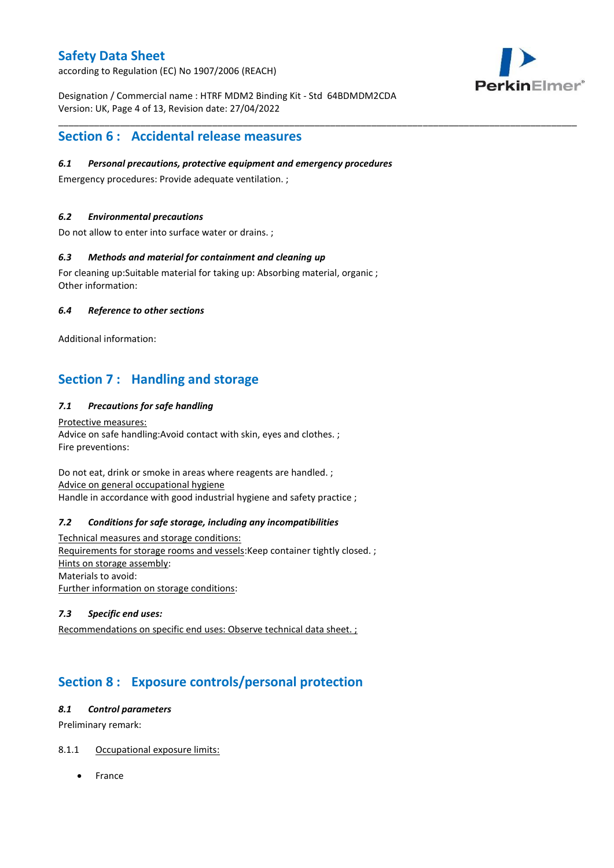according to Regulation (EC) No 1907/2006 (REACH)



Designation / Commercial name : HTRF MDM2 Binding Kit - Std 64BDMDM2CDA Version: UK, Page 4 of 13, Revision date: 27/04/2022

\_\_\_\_\_\_\_\_\_\_\_\_\_\_\_\_\_\_\_\_\_\_\_\_\_\_\_\_\_\_\_\_\_\_\_\_\_\_\_\_\_\_\_\_\_\_\_\_\_\_\_\_\_\_\_\_\_\_\_\_\_\_\_\_\_\_\_\_\_\_\_\_\_\_\_\_\_\_\_\_\_\_\_\_\_\_\_\_\_\_\_\_\_\_\_\_\_\_\_\_\_

# **Section 6 : Accidental release measures**

### *6.1 Personal precautions, protective equipment and emergency procedures*

Emergency procedures: Provide adequate ventilation. ;

## *6.2 Environmental precautions*

Do not allow to enter into surface water or drains. ;

### *6.3 Methods and material for containment and cleaning up*

For cleaning up:Suitable material for taking up: Absorbing material, organic ; Other information:

### *6.4 Reference to other sections*

Additional information:

# **Section 7 : Handling and storage**

## *7.1 Precautions for safe handling*

Protective measures: Advice on safe handling:Avoid contact with skin, eyes and clothes. ; Fire preventions:

Do not eat, drink or smoke in areas where reagents are handled. ; Advice on general occupational hygiene Handle in accordance with good industrial hygiene and safety practice ;

#### *7.2 Conditions for safe storage, including any incompatibilities*

Technical measures and storage conditions: Requirements for storage rooms and vessels:Keep container tightly closed. ; Hints on storage assembly: Materials to avoid: Further information on storage conditions:

### *7.3 Specific end uses:*

Recommendations on specific end uses: Observe technical data sheet. ;

# **Section 8 : Exposure controls/personal protection**

#### *8.1 Control parameters*

Preliminary remark:

## 8.1.1 Occupational exposure limits:

France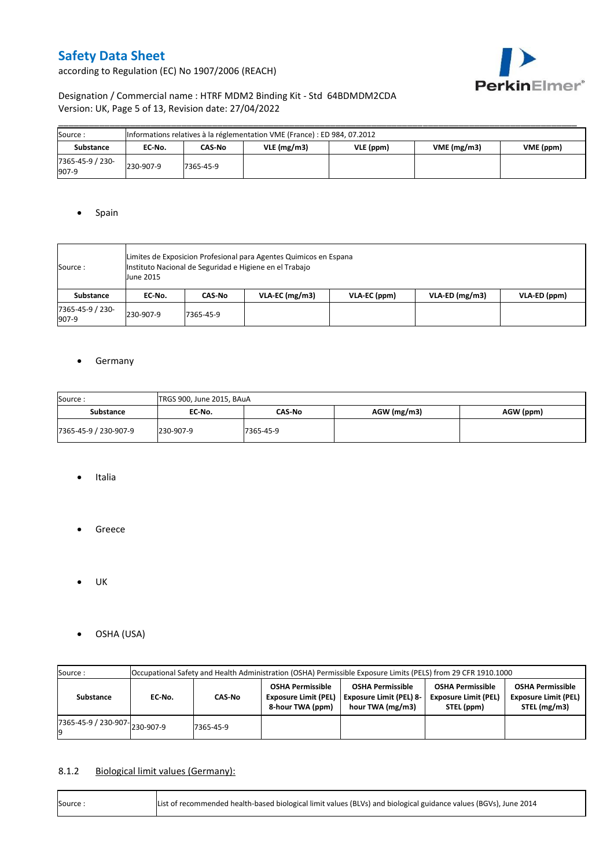according to Regulation (EC) No 1907/2006 (REACH)



# Designation / Commercial name : HTRF MDM2 Binding Kit - Std 64BDMDM2CDA Version: UK, Page 5 of 13, Revision date: 27/04/2022

| Source :                  | Informations relatives à la réglementation VME (France) : ED 984, 07.2012 |           |            |                         |  |  |  |  |  |  |  |
|---------------------------|---------------------------------------------------------------------------|-----------|------------|-------------------------|--|--|--|--|--|--|--|
| Substance                 | EC No.                                                                    | CAS-No    | VLE(mg/m3) | VME(mg/m3)<br>VME (ppm) |  |  |  |  |  |  |  |
| 7365-45-9 / 230-<br>907-9 | 230-907-9                                                                 | 7365-45-9 |            |                         |  |  |  |  |  |  |  |

### • Spain

| Source:                   | Limites de Exposicion Profesional para Agentes Quimicos en Espana<br>Instituto Nacional de Seguridad e Higiene en el Trabajo<br><b>June 2015</b> |           |                |              |                  |              |  |  |  |  |
|---------------------------|--------------------------------------------------------------------------------------------------------------------------------------------------|-----------|----------------|--------------|------------------|--------------|--|--|--|--|
| Substance                 | EC No.                                                                                                                                           | CAS-No    | VLA-EC (mg/m3) | VLA-EC (ppm) | $VLA-ED (mg/m3)$ | VLA-ED (ppm) |  |  |  |  |
| 7365-45-9 / 230-<br>907-9 | 230-907-9                                                                                                                                        | 7365-45-9 |                |              |                  |              |  |  |  |  |

### **•** Germany

| Source:               | TRGS 900, June 2015, BAuA |           |             |           |  |  |  |  |  |  |
|-----------------------|---------------------------|-----------|-------------|-----------|--|--|--|--|--|--|
| Substance             | EC No.                    | CAS-No    | AGW (mg/m3) | AGW (ppm) |  |  |  |  |  |  |
| 7365-45-9 / 230-907-9 | 230-907-9                 | 7365-45-9 |             |           |  |  |  |  |  |  |

- Italia
- **•** Greece
- $\bullet$  UK
- OSHA (USA)

| Source:                                  | Occupational Safety and Health Administration (OSHA) Permissible Exposure Limits (PELS) from 29 CFR 1910.1000 |                                       |  |                                                                               |                                                                      |                                                                        |  |  |  |  |
|------------------------------------------|---------------------------------------------------------------------------------------------------------------|---------------------------------------|--|-------------------------------------------------------------------------------|----------------------------------------------------------------------|------------------------------------------------------------------------|--|--|--|--|
| Substance                                | EC No.                                                                                                        | <b>Exposure Limit (PEL)</b><br>CAS-No |  | <b>OSHA Permissible</b><br><b>Exposure Limit (PEL) 8-</b><br>hour TWA (mg/m3) | <b>OSHA Permissible</b><br><b>Exposure Limit (PEL)</b><br>STEL (ppm) | <b>OSHA Permissible</b><br><b>Exposure Limit (PEL)</b><br>STEL (mg/m3) |  |  |  |  |
| $17365 - 45 - 9$ / 230-907-<br>230-907-9 |                                                                                                               | 7365-45-9                             |  |                                                                               |                                                                      |                                                                        |  |  |  |  |

# 8.1.2 Biological limit values (Germany):

| Source: | List of recommended health-based biological limit values (BLVs) and biological guidance values (BGVs), June 2014 |
|---------|------------------------------------------------------------------------------------------------------------------|
|---------|------------------------------------------------------------------------------------------------------------------|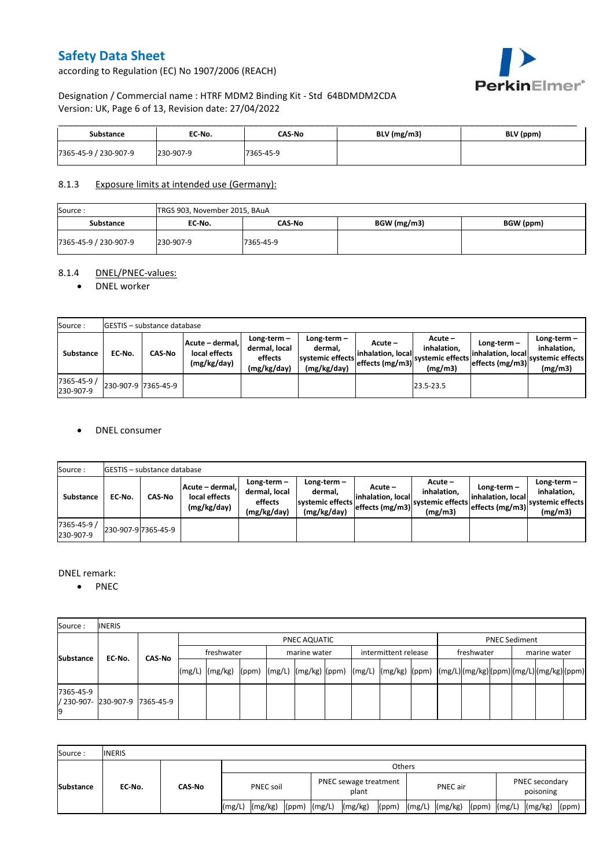according to Regulation (EC) No 1907/2006 (REACH)



# Designation / Commercial name : HTRF MDM2 Binding Kit - Std 64BDMDM2CDA Version: UK, Page 6 of 13, Revision date: 27/04/2022

| Substance             | EC No.    | CAS No    | $BLV$ (mg/m3) | BLV (ppm) |
|-----------------------|-----------|-----------|---------------|-----------|
| 7365-45-9 / 230-907-9 | 230-907-9 | 7365-45-9 |               |           |

### 8.1.3 Exposure limits at intended use (Germany):

| Source:               | TRGS 903, November 2015, BAuA |           |             |           |  |  |  |  |  |  |
|-----------------------|-------------------------------|-----------|-------------|-----------|--|--|--|--|--|--|
| <b>Substance</b>      | EC No.                        | CAS-No    | BGW (mg/m3) | BGW (ppm) |  |  |  |  |  |  |
| 7365-45-9 / 230-907-9 | 230-907-9                     | 7365-45-9 |             |           |  |  |  |  |  |  |

# 8.1.4 DNEL/PNEC-values:

#### • DNEL worker

| Source:                  |                     | <b>IGESTIS - substance database</b> |                                                 |                                                       |                                                             |                                                   |                                                         |                                                       |                                                             |  |  |  |  |  |
|--------------------------|---------------------|-------------------------------------|-------------------------------------------------|-------------------------------------------------------|-------------------------------------------------------------|---------------------------------------------------|---------------------------------------------------------|-------------------------------------------------------|-------------------------------------------------------------|--|--|--|--|--|
| Substance                | EC No.              | <b>CAS-No</b>                       | Acute - dermal.<br>local effects<br>(mg/kg/day) | Long-term-<br>dermal. local<br>effects<br>(mg/kg/day) | Long-term $-$<br>dermal.<br>systemic effects<br>(mg/kg/day) | Acute –<br>linhalation. locall<br>effects (mg/m3) | $Acute -$<br>inhalation.<br>systemic effects<br>(mg/m3) | Long-term $-$<br>inhalation, local<br>effects (mg/m3) | Long-term $-$<br>inhalation.<br>systemic effects<br>(mg/m3) |  |  |  |  |  |
| 7365-45-9 /<br>230-907-9 | 230-907-9 7365-45-9 |                                     |                                                 |                                                       |                                                             |                                                   | 23.5-23.5                                               |                                                       |                                                             |  |  |  |  |  |

### DNEL consumer

| Source:                  |        | <b>GESTIS</b> - substance database |                                                 |                                                          |                                                          |                               |                                                                                                         |                                                     |                                                             |  |  |  |  |  |
|--------------------------|--------|------------------------------------|-------------------------------------------------|----------------------------------------------------------|----------------------------------------------------------|-------------------------------|---------------------------------------------------------------------------------------------------------|-----------------------------------------------------|-------------------------------------------------------------|--|--|--|--|--|
| Substance                | EC-No. | <b>CAS-No</b>                      | Acute - dermal,<br>local effects<br>(mg/kg/day) | Long-term $-$<br>dermal, local<br>effects<br>(mg/kg/day) | Long-term-<br>dermal,<br>systemic effects<br>(mg/kg/day) | Acute –<br>linhalation. local | Acute -<br>inhalation.<br>---> effects (mg/m3)  <sup>systemic effects</sup>   <sub>-</sub> 4<br>(mg/m3) | Long-term –<br>inhalation. local<br>effects (mg/m3) | Long-term $-$<br>inhalation.<br>systemic effects<br>(mg/m3) |  |  |  |  |  |
| 7365-45-9 /<br>230-907-9 |        | 230-907-9 7365-45-9                |                                                 |                                                          |                                                          |                               |                                                                                                         |                                                     |                                                             |  |  |  |  |  |

#### DNEL remark:

• PNEC

| Source:         | <b>INERIS</b>                  |        |            |              |  |  |              |  |                      |  |            |  |                      |  |  |  |  |
|-----------------|--------------------------------|--------|------------|--------------|--|--|--------------|--|----------------------|--|------------|--|----------------------|--|--|--|--|
|                 |                                | CAS-No |            | PNEC AQUATIC |  |  |              |  |                      |  |            |  | <b>PNEC Sediment</b> |  |  |  |  |
| Substance       | EC No.                         |        | freshwater |              |  |  | marine water |  | intermittent release |  | freshwater |  | marine water         |  |  |  |  |
|                 |                                |        |            |              |  |  |              |  |                      |  |            |  |                      |  |  |  |  |
| 7365-45-9<br>19 | / 230-907- 230-907-9 7365-45-9 |        |            |              |  |  |              |  |                      |  |            |  |                      |  |  |  |  |

| Source:          | <b>INERIS</b> |        |           |         |                  |                                |         |       |          |                |  |                                    |                          |       |
|------------------|---------------|--------|-----------|---------|------------------|--------------------------------|---------|-------|----------|----------------|--|------------------------------------|--------------------------|-------|
|                  | EC No.        | CAS-No | Others    |         |                  |                                |         |       |          |                |  |                                    |                          |       |
| <b>Substance</b> |               |        | PNEC soil |         |                  | PNEC sewage treatment<br>plant |         |       | PNEC air |                |  | <b>PNEC secondary</b><br>poisoning |                          |       |
|                  |               |        | (mg/L)    | (mg/kg) | $(ppm)$ $(mg/L)$ |                                | (mg/kg) | (ppm) |          | (mg/L) (mg/kg) |  |                                    | (ppm) $(mg/L)$ $(mg/kg)$ | (ppm) |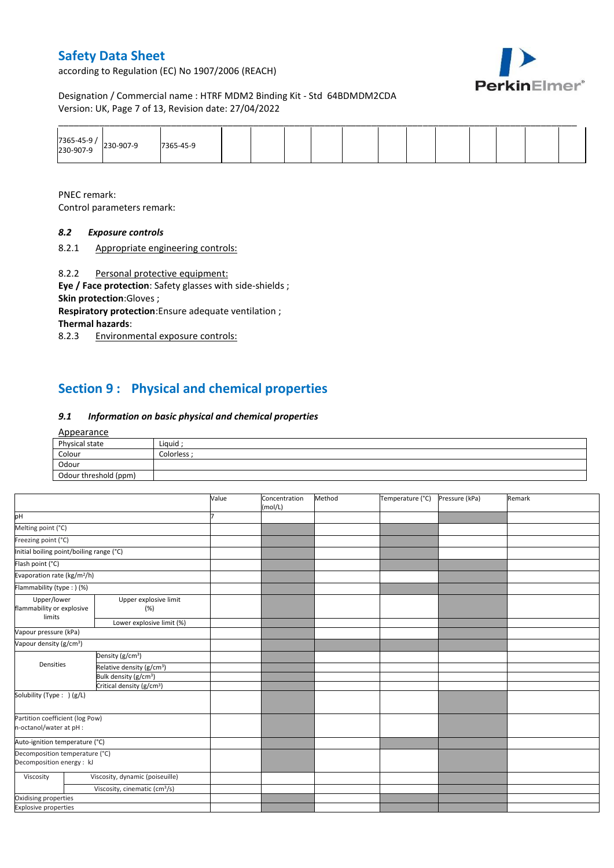according to Regulation (EC) No 1907/2006 (REACH)



Designation / Commercial name : HTRF MDM2 Binding Kit - Std 64BDMDM2CDA Version: UK, Page 7 of 13, Revision date: 27/04/2022

|                                       |           |  |  | ______ |  | _______ |  |
|---------------------------------------|-----------|--|--|--------|--|---------|--|
| 7365-45-9 /<br>230-907-9<br>230-907-9 | 7365-45-9 |  |  |        |  |         |  |

PNEC remark:

Control parameters remark:

# *8.2 Exposure controls*

8.2.1 Appropriate engineering controls:

8.2.2 Personal protective equipment:

**Eye / Face protection**: Safety glasses with side-shields ; **Skin protection**:Gloves ;

**Respiratory protection**:Ensure adequate ventilation ; **Thermal hazards**:

8.2.3 Environmental exposure controls:

# **Section 9 : Physical and chemical properties**

### *9.1 Information on basic physical and chemical properties*

#### Appearance

| Physical state        | Liquid    |
|-----------------------|-----------|
| Colour                | Colorless |
| Odour                 |           |
| Odour threshold (ppm) |           |

|                                                             |                                           | Value | Concentration<br>(mol/L) | Method | Temperature (°C) | Pressure (kPa) | Remark |
|-------------------------------------------------------------|-------------------------------------------|-------|--------------------------|--------|------------------|----------------|--------|
| pH                                                          |                                           |       |                          |        |                  |                |        |
| Melting point (°C)                                          |                                           |       |                          |        |                  |                |        |
| Freezing point (°C)                                         |                                           |       |                          |        |                  |                |        |
| Initial boiling point/boiling range (°C)                    |                                           |       |                          |        |                  |                |        |
| Flash point (°C)                                            |                                           |       |                          |        |                  |                |        |
| Evaporation rate (kg/m <sup>2</sup> /h)                     |                                           |       |                          |        |                  |                |        |
| Flammability (type: ) (%)                                   |                                           |       |                          |        |                  |                |        |
| Upper/lower<br>flammability or explosive<br>limits          | Upper explosive limit<br>(% )             |       |                          |        |                  |                |        |
|                                                             | Lower explosive limit (%)                 |       |                          |        |                  |                |        |
| Vapour pressure (kPa)                                       |                                           |       |                          |        |                  |                |        |
| Vapour density (g/cm <sup>3</sup> )                         |                                           |       |                          |        |                  |                |        |
|                                                             | Density (g/cm <sup>3</sup> )              |       |                          |        |                  |                |        |
| Densities                                                   | Relative density (g/cm <sup>3</sup> )     |       |                          |        |                  |                |        |
|                                                             | Bulk density (g/cm <sup>3</sup> )         |       |                          |        |                  |                |        |
|                                                             | Critical density (g/cm <sup>3</sup> )     |       |                          |        |                  |                |        |
| Solubility (Type: ) (g/L)                                   |                                           |       |                          |        |                  |                |        |
| Partition coefficient (log Pow)<br>n-octanol/water at pH :  |                                           |       |                          |        |                  |                |        |
| Auto-ignition temperature (°C)                              |                                           |       |                          |        |                  |                |        |
| Decomposition temperature (°C)<br>Decomposition energy : kJ |                                           |       |                          |        |                  |                |        |
| Viscosity                                                   | Viscosity, dynamic (poiseuille)           |       |                          |        |                  |                |        |
|                                                             | Viscosity, cinematic (cm <sup>3</sup> /s) |       |                          |        |                  |                |        |
| Oxidising properties                                        |                                           |       |                          |        |                  |                |        |
| <b>Explosive properties</b>                                 |                                           |       |                          |        |                  |                |        |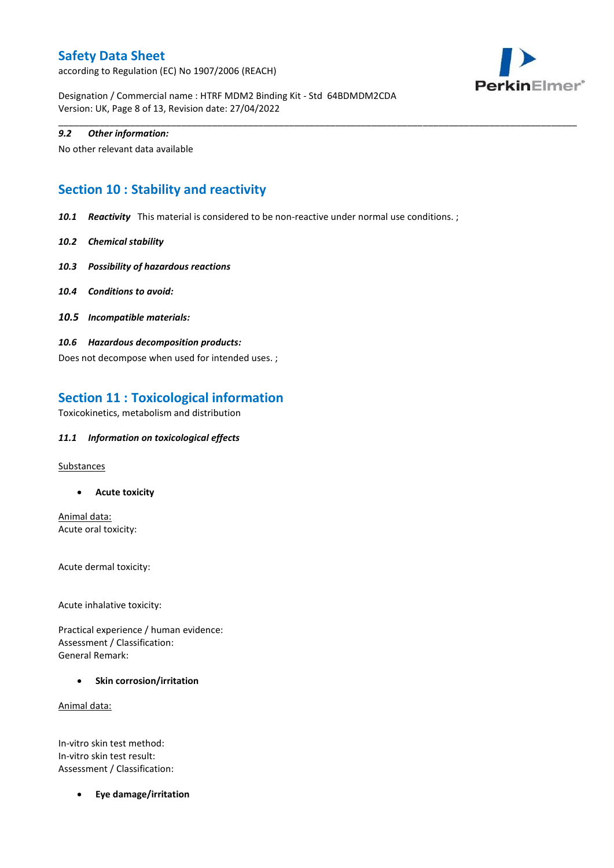according to Regulation (EC) No 1907/2006 (REACH)



Designation / Commercial name : HTRF MDM2 Binding Kit - Std 64BDMDM2CDA Version: UK, Page 8 of 13, Revision date: 27/04/2022

### *9.2 Other information:*

No other relevant data available

# **Section 10 : Stability and reactivity**

*10.1 Reactivity* This material is considered to be non-reactive under normal use conditions. ;

\_\_\_\_\_\_\_\_\_\_\_\_\_\_\_\_\_\_\_\_\_\_\_\_\_\_\_\_\_\_\_\_\_\_\_\_\_\_\_\_\_\_\_\_\_\_\_\_\_\_\_\_\_\_\_\_\_\_\_\_\_\_\_\_\_\_\_\_\_\_\_\_\_\_\_\_\_\_\_\_\_\_\_\_\_\_\_\_\_\_\_\_\_\_\_\_\_\_\_\_\_

- *10.2 Chemical stability*
- *10.3 Possibility of hazardous reactions*
- *10.4 Conditions to avoid:*
- *10.5 Incompatible materials:*
- *10.6 Hazardous decomposition products:*

Does not decompose when used for intended uses. ;

# **Section 11 : Toxicological information**

Toxicokinetics, metabolism and distribution

### *11.1 Information on toxicological effects*

**Substances** 

**Acute toxicity**

Animal data: Acute oral toxicity:

Acute dermal toxicity:

Acute inhalative toxicity:

Practical experience / human evidence: Assessment / Classification: General Remark:

**•** Skin corrosion/irritation

Animal data:

In-vitro skin test method: In-vitro skin test result: Assessment / Classification:

**Eye damage/irritation**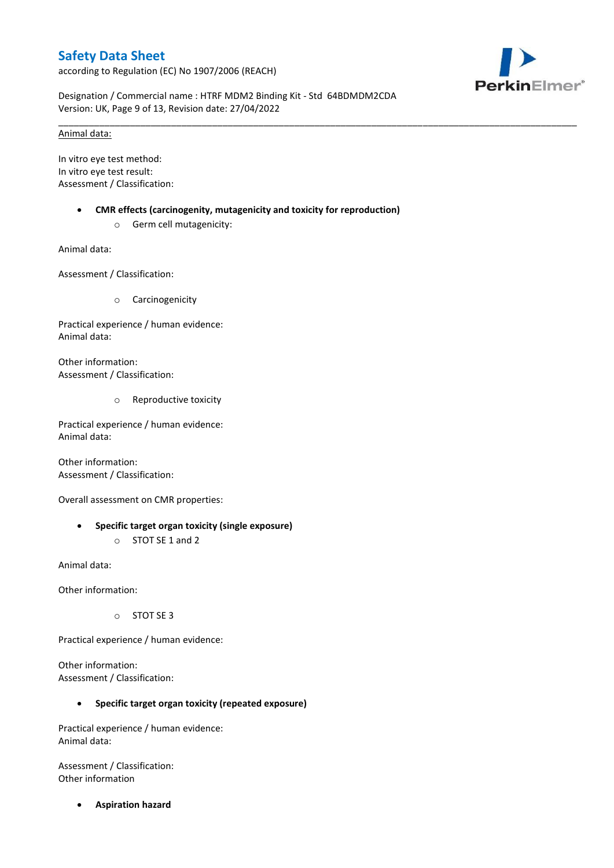according to Regulation (EC) No 1907/2006 (REACH)



Designation / Commercial name : HTRF MDM2 Binding Kit - Std 64BDMDM2CDA Version: UK, Page 9 of 13, Revision date: 27/04/2022

\_\_\_\_\_\_\_\_\_\_\_\_\_\_\_\_\_\_\_\_\_\_\_\_\_\_\_\_\_\_\_\_\_\_\_\_\_\_\_\_\_\_\_\_\_\_\_\_\_\_\_\_\_\_\_\_\_\_\_\_\_\_\_\_\_\_\_\_\_\_\_\_\_\_\_\_\_\_\_\_\_\_\_\_\_\_\_\_\_\_\_\_\_\_\_\_\_\_\_\_\_

### Animal data:

In vitro eye test method: In vitro eye test result: Assessment / Classification:

- **CMR effects (carcinogenity, mutagenicity and toxicity for reproduction)**
	- o Germ cell mutagenicity:

Animal data:

Assessment / Classification:

o Carcinogenicity

Practical experience / human evidence: Animal data:

Other information: Assessment / Classification:

o Reproductive toxicity

Practical experience / human evidence: Animal data:

Other information: Assessment / Classification:

Overall assessment on CMR properties:

 **Specific target organ toxicity (single exposure)** o STOT SE 1 and 2

Animal data:

Other information:

o STOT SE 3

Practical experience / human evidence:

Other information: Assessment / Classification:

## **Specific target organ toxicity (repeated exposure)**

Practical experience / human evidence: Animal data:

Assessment / Classification: Other information

**Aspiration hazard**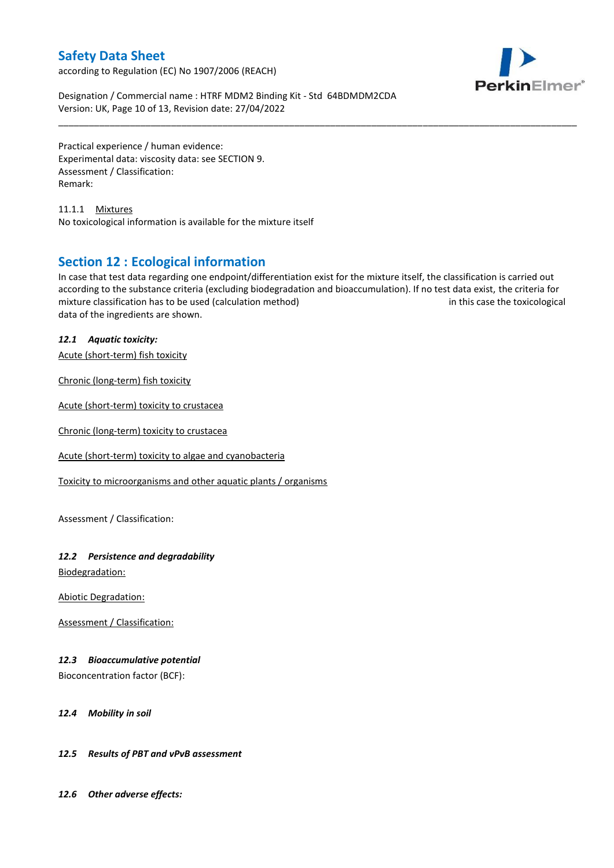according to Regulation (EC) No 1907/2006 (REACH)



Designation / Commercial name : HTRF MDM2 Binding Kit - Std 64BDMDM2CDA Version: UK, Page 10 of 13, Revision date: 27/04/2022

Practical experience / human evidence: Experimental data: viscosity data: see SECTION 9. Assessment / Classification: Remark:

11.1.1 Mixtures No toxicological information is available for the mixture itself

# **Section 12 : Ecological information**

In case that test data regarding one endpoint/differentiation exist for the mixture itself, the classification is carried out according to the substance criteria (excluding biodegradation and bioaccumulation). If no test data exist, the criteria for mixture classification has to be used (calculation method) in this case the toxicological data of the ingredients are shown.

\_\_\_\_\_\_\_\_\_\_\_\_\_\_\_\_\_\_\_\_\_\_\_\_\_\_\_\_\_\_\_\_\_\_\_\_\_\_\_\_\_\_\_\_\_\_\_\_\_\_\_\_\_\_\_\_\_\_\_\_\_\_\_\_\_\_\_\_\_\_\_\_\_\_\_\_\_\_\_\_\_\_\_\_\_\_\_\_\_\_\_\_\_\_\_\_\_\_\_\_\_

## *12.1 Aquatic toxicity:*

Acute (short-term) fish toxicity

Chronic (long-term) fish toxicity

Acute (short-term) toxicity to crustacea

Chronic (long-term) toxicity to crustacea

Acute (short-term) toxicity to algae and cyanobacteria

Toxicity to microorganisms and other aquatic plants / organisms

Assessment / Classification:

## *12.2 Persistence and degradability*

Biodegradation:

Abiotic Degradation:

Assessment / Classification:

## *12.3 Bioaccumulative potential*

Bioconcentration factor (BCF):

#### *12.4 Mobility in soil*

## *12.5 Results of PBT and vPvB assessment*

*12.6 Other adverse effects:*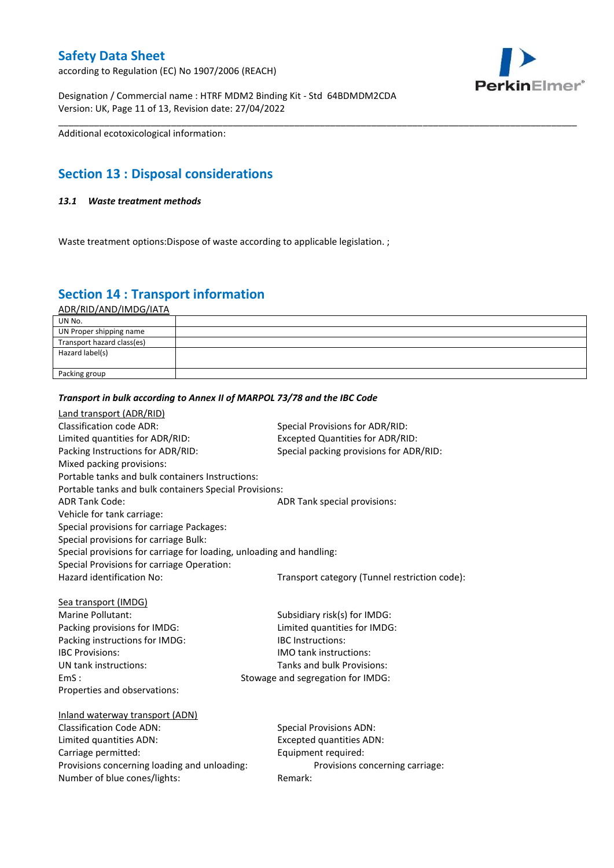according to Regulation (EC) No 1907/2006 (REACH)

Designation / Commercial name : HTRF MDM2 Binding Kit - Std 64BDMDM2CDA Version: UK, Page 11 of 13, Revision date: 27/04/2022

Additional ecotoxicological information:

# **Section 13 : Disposal considerations**

### *13.1 Waste treatment methods*

Waste treatment options: Dispose of waste according to applicable legislation.;

# **Section 14 : Transport information**

ADR/RID/AND/IMDG/IATA

| UN No.                     |  |
|----------------------------|--|
| UN Proper shipping name    |  |
| Transport hazard class(es) |  |
| Hazard label(s)            |  |
|                            |  |
| Packing group              |  |

\_\_\_\_\_\_\_\_\_\_\_\_\_\_\_\_\_\_\_\_\_\_\_\_\_\_\_\_\_\_\_\_\_\_\_\_\_\_\_\_\_\_\_\_\_\_\_\_\_\_\_\_\_\_\_\_\_\_\_\_\_\_\_\_\_\_\_\_\_\_\_\_\_\_\_\_\_\_\_\_\_\_\_\_\_\_\_\_\_\_\_\_\_\_\_\_\_\_\_\_\_

# *Transport in bulk according to Annex II of MARPOL 73/78 and the IBC Code*

| <b>Land transport (ADR/RID)</b>                                      |                                               |
|----------------------------------------------------------------------|-----------------------------------------------|
| Classification code ADR:                                             | Special Provisions for ADR/RID:               |
| Limited quantities for ADR/RID:                                      | <b>Excepted Quantities for ADR/RID:</b>       |
| Packing Instructions for ADR/RID:                                    | Special packing provisions for ADR/RID:       |
| Mixed packing provisions:                                            |                                               |
| Portable tanks and bulk containers Instructions:                     |                                               |
| Portable tanks and bulk containers Special Provisions:               |                                               |
| <b>ADR Tank Code:</b>                                                | ADR Tank special provisions:                  |
| Vehicle for tank carriage:                                           |                                               |
| Special provisions for carriage Packages:                            |                                               |
| Special provisions for carriage Bulk:                                |                                               |
| Special provisions for carriage for loading, unloading and handling: |                                               |
| Special Provisions for carriage Operation:                           |                                               |
| Hazard identification No:                                            | Transport category (Tunnel restriction code): |
|                                                                      |                                               |
| Sea transport (IMDG)                                                 |                                               |
| Marine Pollutant:                                                    | Subsidiary risk(s) for IMDG:                  |
| Packing provisions for IMDG:                                         | Limited quantities for IMDG:                  |
| Packing instructions for IMDG:                                       | <b>IBC</b> Instructions:                      |
| <b>IBC Provisions:</b>                                               | IMO tank instructions:                        |
| UN tank instructions:                                                | Tanks and bulk Provisions:                    |
| EmS:                                                                 | Stowage and segregation for IMDG:             |
| Properties and observations:                                         |                                               |
|                                                                      |                                               |
| Inland waterway transport (ADN)                                      |                                               |
| <b>Classification Code ADN:</b>                                      | <b>Special Provisions ADN:</b>                |
| Limited quantities ADN:                                              | <b>Excepted quantities ADN:</b>               |
| Carriage permitted:                                                  | Equipment required:                           |
| Provisions concerning loading and unloading:                         | Provisions concerning carriage:               |
| Number of blue cones/lights:                                         | Remark:                                       |
|                                                                      |                                               |

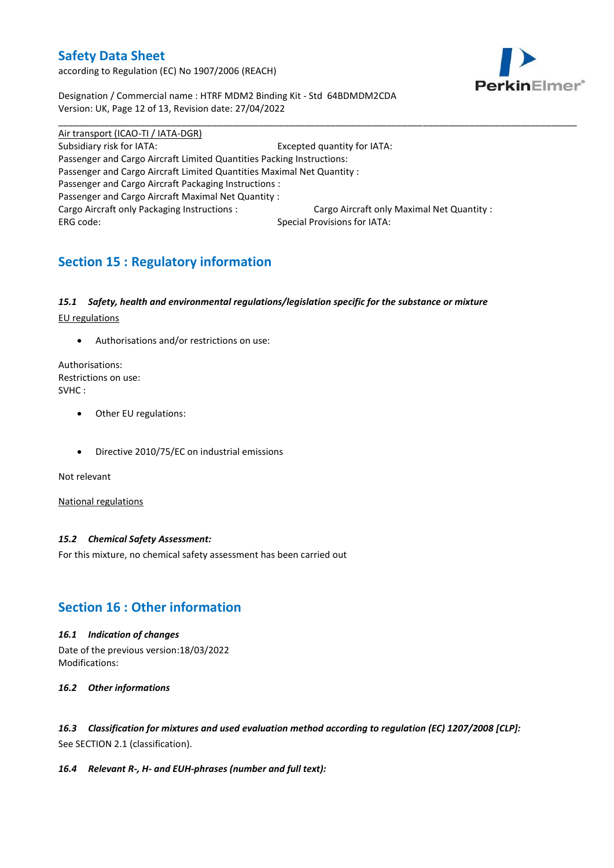according to Regulation (EC) No 1907/2006 (REACH)



Designation / Commercial name : HTRF MDM2 Binding Kit - Std 64BDMDM2CDA Version: UK, Page 12 of 13, Revision date: 27/04/2022

Air transport (ICAO-TI / IATA-DGR) Subsidiary risk for IATA: Excepted quantity for IATA: Passenger and Cargo Aircraft Limited Quantities Packing Instructions: Passenger and Cargo Aircraft Limited Quantities Maximal Net Quantity : Passenger and Cargo Aircraft Packaging Instructions : Passenger and Cargo Aircraft Maximal Net Quantity : Cargo Aircraft only Packaging Instructions : Cargo Aircraft only Maximal Net Quantity : ERG code: Special Provisions for IATA:

\_\_\_\_\_\_\_\_\_\_\_\_\_\_\_\_\_\_\_\_\_\_\_\_\_\_\_\_\_\_\_\_\_\_\_\_\_\_\_\_\_\_\_\_\_\_\_\_\_\_\_\_\_\_\_\_\_\_\_\_\_\_\_\_\_\_\_\_\_\_\_\_\_\_\_\_\_\_\_\_\_\_\_\_\_\_\_\_\_\_\_\_\_\_\_\_\_\_\_\_\_

# **Section 15 : Regulatory information**

### *15.1 Safety, health and environmental regulations/legislation specific for the substance or mixture*

EU regulations

Authorisations and/or restrictions on use:

Authorisations: Restrictions on use: SVHC :

- Other EU regulations:
- Directive 2010/75/EC on industrial emissions

Not relevant

National regulations

#### *15.2 Chemical Safety Assessment:*

For this mixture, no chemical safety assessment has been carried out

# **Section 16 : Other information**

#### *16.1 Indication of changes*

Date of the previous version:18/03/2022 Modifications:

#### *16.2 Other informations*

*16.3 Classification for mixtures and used evaluation method according to regulation (EC) 1207/2008 [CLP]:* See SECTION 2.1 (classification).

#### *16.4 Relevant R-, H- and EUH-phrases (number and full text):*